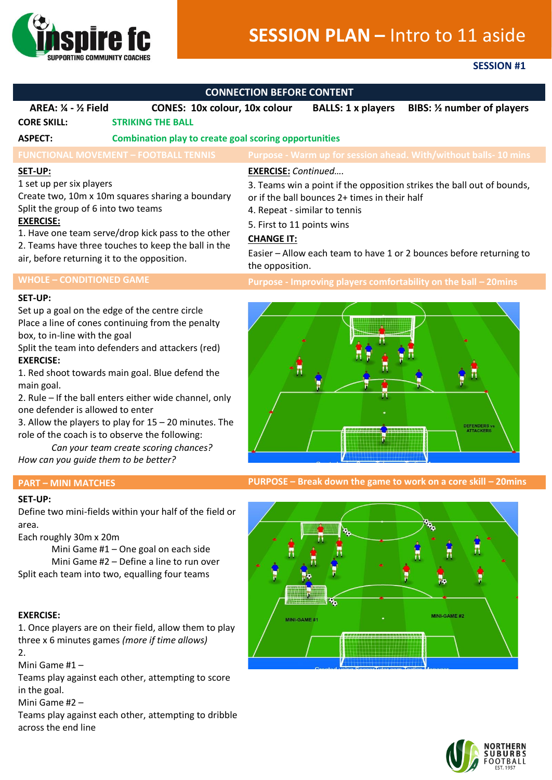

# **SESSION PLAN –** Intro to 11 aside

## **SESSION #1**

| <b>CONNECTION BEFORE CONTENT</b>                                                                                                                                                                                                                                                                               |                                                                                                                                                                                                                                                                                                                                                                                                                             |                                                                                                                                                                                                                                                                                                                                     |                           |                                                                  |
|----------------------------------------------------------------------------------------------------------------------------------------------------------------------------------------------------------------------------------------------------------------------------------------------------------------|-----------------------------------------------------------------------------------------------------------------------------------------------------------------------------------------------------------------------------------------------------------------------------------------------------------------------------------------------------------------------------------------------------------------------------|-------------------------------------------------------------------------------------------------------------------------------------------------------------------------------------------------------------------------------------------------------------------------------------------------------------------------------------|---------------------------|------------------------------------------------------------------|
| <b>AREA: 1/4 - 1/2 Field</b>                                                                                                                                                                                                                                                                                   | <b>CONES: 10x colour, 10x colour</b>                                                                                                                                                                                                                                                                                                                                                                                        |                                                                                                                                                                                                                                                                                                                                     | <b>BALLS: 1 x players</b> | BIBS: 1/2 number of players                                      |
| <b>CORE SKILL:</b>                                                                                                                                                                                                                                                                                             | <b>STRIKING THE BALL</b>                                                                                                                                                                                                                                                                                                                                                                                                    |                                                                                                                                                                                                                                                                                                                                     |                           |                                                                  |
| <b>ASPECT:</b>                                                                                                                                                                                                                                                                                                 | <b>Combination play to create goal scoring opportunities</b>                                                                                                                                                                                                                                                                                                                                                                |                                                                                                                                                                                                                                                                                                                                     |                           |                                                                  |
|                                                                                                                                                                                                                                                                                                                | <b>FUNCTIONAL MOVEMENT - FOOTBALL TENNIS</b>                                                                                                                                                                                                                                                                                                                                                                                |                                                                                                                                                                                                                                                                                                                                     |                           | Purpose - Warm up for session ahead. With/without balls- 10 mins |
| SET-UP:<br>1 set up per six players<br>Create two, 10m x 10m squares sharing a boundary<br>Split the group of 6 into two teams<br><b>EXERCISE:</b><br>1. Have one team serve/drop kick pass to the other<br>2. Teams have three touches to keep the ball in the<br>air, before returning it to the opposition. |                                                                                                                                                                                                                                                                                                                                                                                                                             | <b>EXERCISE:</b> Continued<br>3. Teams win a point if the opposition strikes the ball out of bounds,<br>or if the ball bounces 2+ times in their half<br>4. Repeat - similar to tennis<br>5. First to 11 points wins<br><b>CHANGE IT:</b><br>Easier - Allow each team to have 1 or 2 bounces before returning to<br>the opposition. |                           |                                                                  |
| <b>WHOLE - CONDITIONED GAME</b>                                                                                                                                                                                                                                                                                |                                                                                                                                                                                                                                                                                                                                                                                                                             |                                                                                                                                                                                                                                                                                                                                     |                           | Purpose - Improving players comfortability on the ball - 20mins  |
| <b>SET-UP:</b><br>box, to in-line with the goal<br><b>EXERCISE:</b><br>main goal.<br>one defender is allowed to enter<br>How can you quide them to be better?                                                                                                                                                  | Set up a goal on the edge of the centre circle<br>Place a line of cones continuing from the penalty<br>Split the team into defenders and attackers (red)<br>1. Red shoot towards main goal. Blue defend the<br>2. Rule - If the ball enters either wide channel, only<br>3. Allow the players to play for $15 - 20$ minutes. The<br>role of the coach is to observe the following:<br>Can your team create scoring chances? |                                                                                                                                                                                                                                                                                                                                     |                           |                                                                  |

**PART – MINI MATCHES PURPOSE – Break down the game to work on a core skill – 20mins**





Mini Game #1 – One goal on each side Mini Game #2 – Define a line to run over Split each team into two, equalling four teams

### **EXERCISE:**

**SET-UP:**

Each roughly 30m x 20m

area.

1. Once players are on their field, allow them to play three x 6 minutes games *(more if time allows)* 2.

Mini Game #1 –

Teams play against each other, attempting to score in the goal.

Mini Game #2 –

Teams play against each other, attempting to dribble across the end line